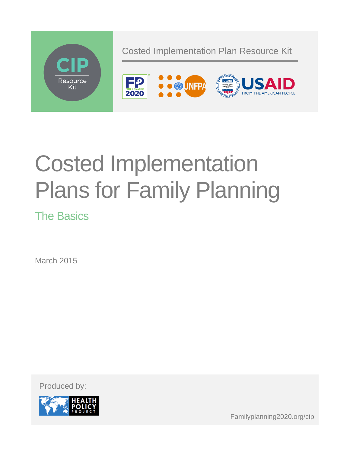

# Costed Implementation Plans for Family Planning

The Basics

March 2015

Produced by:



Familyplanning2020.org/cip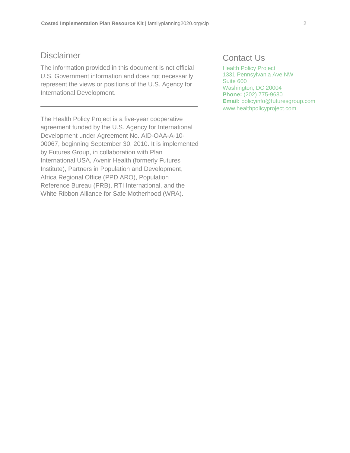## Disclaimer

The information provided in this document is not official U.S. Government information and does not necessarily represent the views or positions of the U.S. Agency for International Development.

The Health Policy Project is a five-year cooperative agreement funded by the U.S. Agency for International Development under Agreement No. AID-OAA-A-10- 00067, beginning September 30, 2010. It is implemented by Futures Group, in collaboration with Plan International USA, Avenir Health (formerly Futures Institute), Partners in Population and Development, Africa Regional Office (PPD ARO), Population Reference Bureau (PRB), RTI International, and the White Ribbon Alliance for Safe Motherhood (WRA).

# Contact Us

Health Policy Project 1331 Pennsylvania Ave NW Suite 600 Washington, DC 20004 **Phone:** (202) 775-9680 **Email:** policyinfo@futuresgroup.com www.healthpolicyproject.com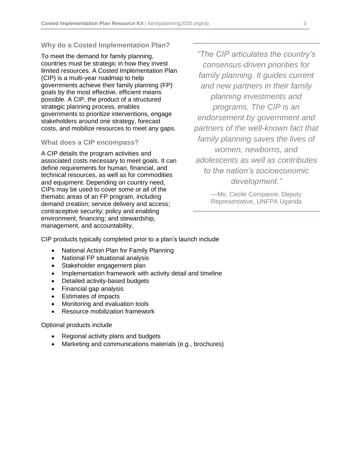#### **Why do a Costed Implementation Plan?**

To meet the demand for family planning, countries must be strategic in how they invest limited resources. A Costed Implementation Plan (CIP) is a multi-year roadmap to help governments achieve their family planning (FP) goals by the most effective, efficient means possible. A CIP, the product of a structured strategic planning process, enables governments to prioritize interventions, engage stakeholders around one strategy, forecast costs, and mobilize resources to meet any gaps.

#### **What does a CIP encompass?**

A CIP details the program activities and associated costs necessary to meet goals. It can define requirements for human, financial, and technical resources, as well as for commodities and equipment. Depending on country need, CIPs may be used to cover some or all of the thematic areas of an FP program, including demand creation; service delivery and access; contraceptive security; policy and enabling environment; financing; and stewardship, management, and accountability.

*"The CIP articulates the country's consensus-driven priorities for family planning. It guides current and new partners in their family planning investments and programs. The CIP is an endorsement by government and partners of the well-known fact that family planning saves the lives of women, newborns, and adolescents as well as contributes to the nation's socioeconomic development."*

> —Ms. Cecile Compaore, Deputy Representative, UNFPA Uganda

CIP products typically completed prior to a plan's launch include

- National Action Plan for Family Planning
- National FP situational analysis
- Stakeholder engagement plan
- Implementation framework with activity detail and timeline
- Detailed activity-based budgets
- Financial gap analysis
- Estimates of impacts
- Monitoring and evaluation tools
- Resource mobilization framework

Optional products include

- Regional activity plans and budgets
- Marketing and communications materials (e.g., brochures)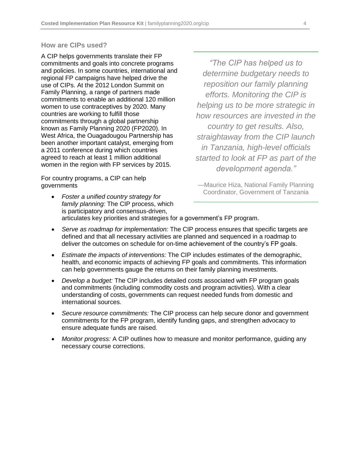### **How are CIPs used?**

A CIP helps governments translate their FP commitments and goals into concrete programs and policies. In some countries, international and regional FP campaigns have helped drive the use of CIPs. At the 2012 London Summit on Family Planning, a range of partners made commitments to enable an additional 120 million women to use contraceptives by 2020. Many countries are working to fulfill those commitments through a global partnership known as Family Planning 2020 (FP2020). In West Africa, the Ouagadougou Partnership has been another important catalyst, emerging from a 2011 conference during which countries agreed to reach at least 1 million additional women in the region with FP services by 2015.

For country programs, a CIP can help governments

*"The CIP has helped us to determine budgetary needs to reposition our family planning efforts. Monitoring the CIP is helping us to be more strategic in how resources are invested in the country to get results. Also, straightaway from the CIP launch in Tanzania, high-level officials started to look at FP as part of the development agenda."*

—Maurice Hiza, National Family Planning Coordinator, Government of Tanzania

- *Foster a unified country strategy for family planning:* The CIP process, which is participatory and consensus-driven, articulates key priorities and strategies for a government's FP program.
- *Serve as roadmap for implementation:* The CIP process ensures that specific targets are defined and that all necessary activities are planned and sequenced in a roadmap to deliver the outcomes on schedule for on-time achievement of the country's FP goals.
- *Estimate the impacts of interventions:* The CIP includes estimates of the demographic, health, and economic impacts of achieving FP goals and commitments. This information can help governments gauge the returns on their family planning investments.
- *Develop a budget:* The CIP includes detailed costs associated with FP program goals and commitments (including commodity costs and program activities). With a clear understanding of costs, governments can request needed funds from domestic and international sources.
- *Secure resource commitments:* The CIP process can help secure donor and government commitments for the FP program, identify funding gaps, and strengthen advocacy to ensure adequate funds are raised.
- *Monitor progress:* A CIP outlines how to measure and monitor performance, guiding any necessary course corrections.